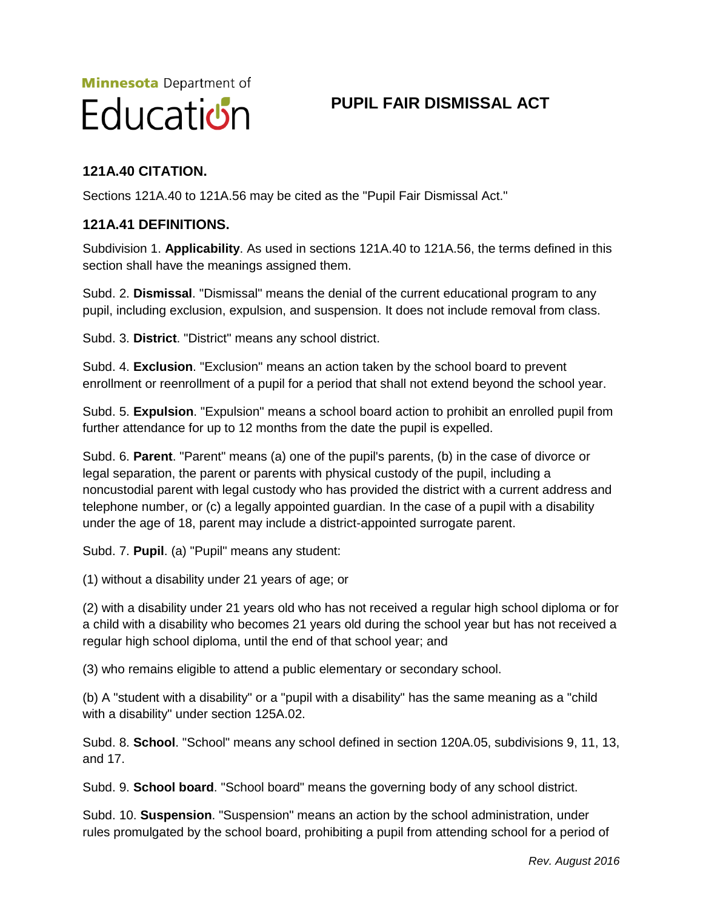# **Minnesota** Department of Education

# **PUPIL FAIR DISMISSAL ACT**

# **121A.40 CITATION.**

Sections 121A.40 to 121A.56 may be cited as the "Pupil Fair Dismissal Act."

#### **121A.41 DEFINITIONS.**

Subdivision 1. **Applicability**. As used in sections 121A.40 to 121A.56, the terms defined in this section shall have the meanings assigned them.

Subd. 2. **Dismissal**. "Dismissal" means the denial of the current educational program to any pupil, including exclusion, expulsion, and suspension. It does not include removal from class.

Subd. 3. **District**. "District" means any school district.

Subd. 4. **Exclusion**. "Exclusion" means an action taken by the school board to prevent enrollment or reenrollment of a pupil for a period that shall not extend beyond the school year.

Subd. 5. **Expulsion**. "Expulsion" means a school board action to prohibit an enrolled pupil from further attendance for up to 12 months from the date the pupil is expelled.

Subd. 6. **Parent**. "Parent" means (a) one of the pupil's parents, (b) in the case of divorce or legal separation, the parent or parents with physical custody of the pupil, including a noncustodial parent with legal custody who has provided the district with a current address and telephone number, or (c) a legally appointed guardian. In the case of a pupil with a disability under the age of 18, parent may include a district-appointed surrogate parent.

Subd. 7. **Pupil**. (a) "Pupil" means any student:

(1) without a disability under 21 years of age; or

(2) with a disability under 21 years old who has not received a regular high school diploma or for a child with a disability who becomes 21 years old during the school year but has not received a regular high school diploma, until the end of that school year; and

(3) who remains eligible to attend a public elementary or secondary school.

(b) A "student with a disability" or a "pupil with a disability" has the same meaning as a "child with a disability" under section 125A.02.

Subd. 8. **School**. "School" means any school defined in section 120A.05, subdivisions 9, 11, 13, and 17.

Subd. 9. **School board**. "School board" means the governing body of any school district.

Subd. 10. **Suspension**. "Suspension" means an action by the school administration, under rules promulgated by the school board, prohibiting a pupil from attending school for a period of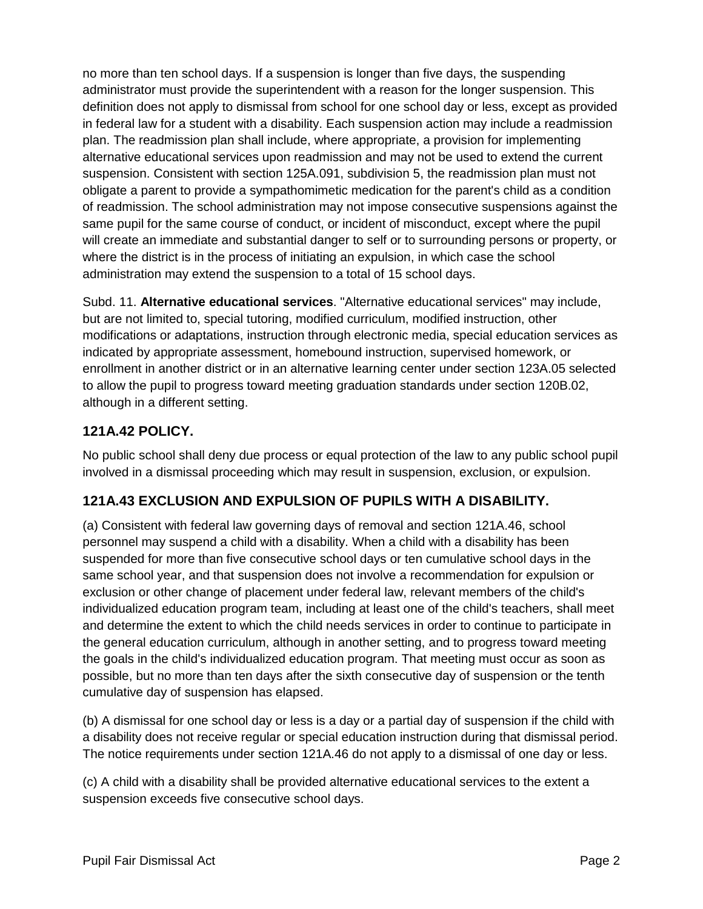no more than ten school days. If a suspension is longer than five days, the suspending administrator must provide the superintendent with a reason for the longer suspension. This definition does not apply to dismissal from school for one school day or less, except as provided in federal law for a student with a disability. Each suspension action may include a readmission plan. The readmission plan shall include, where appropriate, a provision for implementing alternative educational services upon readmission and may not be used to extend the current suspension. Consistent with section 125A.091, subdivision 5, the readmission plan must not obligate a parent to provide a sympathomimetic medication for the parent's child as a condition of readmission. The school administration may not impose consecutive suspensions against the same pupil for the same course of conduct, or incident of misconduct, except where the pupil will create an immediate and substantial danger to self or to surrounding persons or property, or where the district is in the process of initiating an expulsion, in which case the school administration may extend the suspension to a total of 15 school days.

Subd. 11. **Alternative educational services**. "Alternative educational services" may include, but are not limited to, special tutoring, modified curriculum, modified instruction, other modifications or adaptations, instruction through electronic media, special education services as indicated by appropriate assessment, homebound instruction, supervised homework, or enrollment in another district or in an alternative learning center under section 123A.05 selected to allow the pupil to progress toward meeting graduation standards under section 120B.02, although in a different setting.

#### **121A.42 POLICY.**

No public school shall deny due process or equal protection of the law to any public school pupil involved in a dismissal proceeding which may result in suspension, exclusion, or expulsion.

#### **121A.43 EXCLUSION AND EXPULSION OF PUPILS WITH A DISABILITY.**

(a) Consistent with federal law governing days of removal and section 121A.46, school personnel may suspend a child with a disability. When a child with a disability has been suspended for more than five consecutive school days or ten cumulative school days in the same school year, and that suspension does not involve a recommendation for expulsion or exclusion or other change of placement under federal law, relevant members of the child's individualized education program team, including at least one of the child's teachers, shall meet and determine the extent to which the child needs services in order to continue to participate in the general education curriculum, although in another setting, and to progress toward meeting the goals in the child's individualized education program. That meeting must occur as soon as possible, but no more than ten days after the sixth consecutive day of suspension or the tenth cumulative day of suspension has elapsed.

(b) A dismissal for one school day or less is a day or a partial day of suspension if the child with a disability does not receive regular or special education instruction during that dismissal period. The notice requirements under section 121A.46 do not apply to a dismissal of one day or less.

(c) A child with a disability shall be provided alternative educational services to the extent a suspension exceeds five consecutive school days.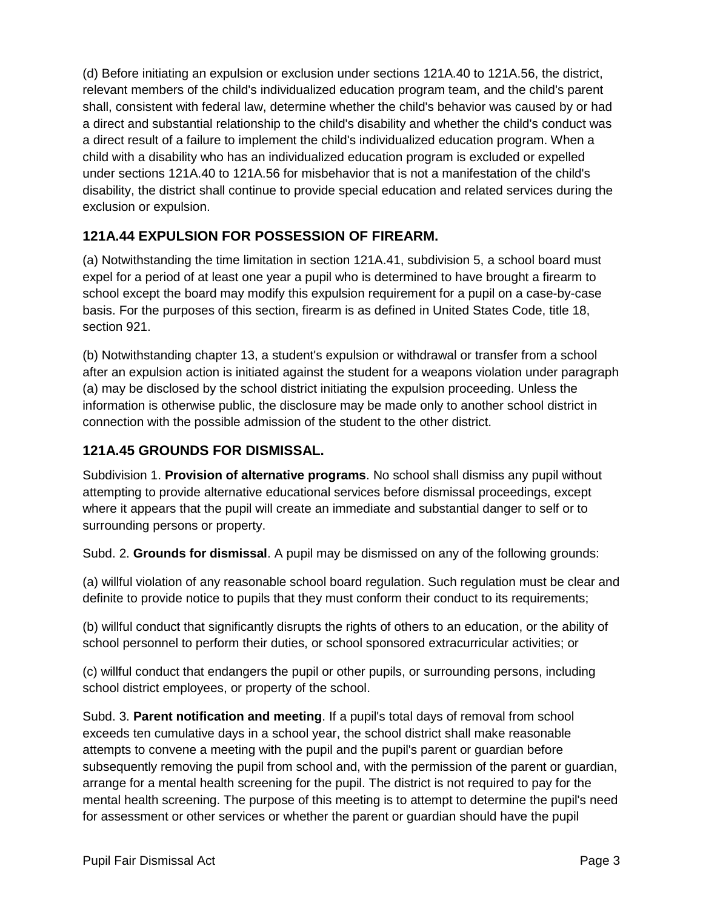(d) Before initiating an expulsion or exclusion under sections 121A.40 to 121A.56, the district, relevant members of the child's individualized education program team, and the child's parent shall, consistent with federal law, determine whether the child's behavior was caused by or had a direct and substantial relationship to the child's disability and whether the child's conduct was a direct result of a failure to implement the child's individualized education program. When a child with a disability who has an individualized education program is excluded or expelled under sections 121A.40 to 121A.56 for misbehavior that is not a manifestation of the child's disability, the district shall continue to provide special education and related services during the exclusion or expulsion.

# **121A.44 EXPULSION FOR POSSESSION OF FIREARM.**

(a) Notwithstanding the time limitation in section 121A.41, subdivision 5, a school board must expel for a period of at least one year a pupil who is determined to have brought a firearm to school except the board may modify this expulsion requirement for a pupil on a case-by-case basis. For the purposes of this section, firearm is as defined in United States Code, title 18, section 921.

(b) Notwithstanding chapter 13, a student's expulsion or withdrawal or transfer from a school after an expulsion action is initiated against the student for a weapons violation under paragraph (a) may be disclosed by the school district initiating the expulsion proceeding. Unless the information is otherwise public, the disclosure may be made only to another school district in connection with the possible admission of the student to the other district.

#### **121A.45 GROUNDS FOR DISMISSAL.**

Subdivision 1. **Provision of alternative programs**. No school shall dismiss any pupil without attempting to provide alternative educational services before dismissal proceedings, except where it appears that the pupil will create an immediate and substantial danger to self or to surrounding persons or property.

Subd. 2. **Grounds for dismissal**. A pupil may be dismissed on any of the following grounds:

(a) willful violation of any reasonable school board regulation. Such regulation must be clear and definite to provide notice to pupils that they must conform their conduct to its requirements;

(b) willful conduct that significantly disrupts the rights of others to an education, or the ability of school personnel to perform their duties, or school sponsored extracurricular activities; or

(c) willful conduct that endangers the pupil or other pupils, or surrounding persons, including school district employees, or property of the school.

Subd. 3. **Parent notification and meeting**. If a pupil's total days of removal from school exceeds ten cumulative days in a school year, the school district shall make reasonable attempts to convene a meeting with the pupil and the pupil's parent or guardian before subsequently removing the pupil from school and, with the permission of the parent or guardian, arrange for a mental health screening for the pupil. The district is not required to pay for the mental health screening. The purpose of this meeting is to attempt to determine the pupil's need for assessment or other services or whether the parent or guardian should have the pupil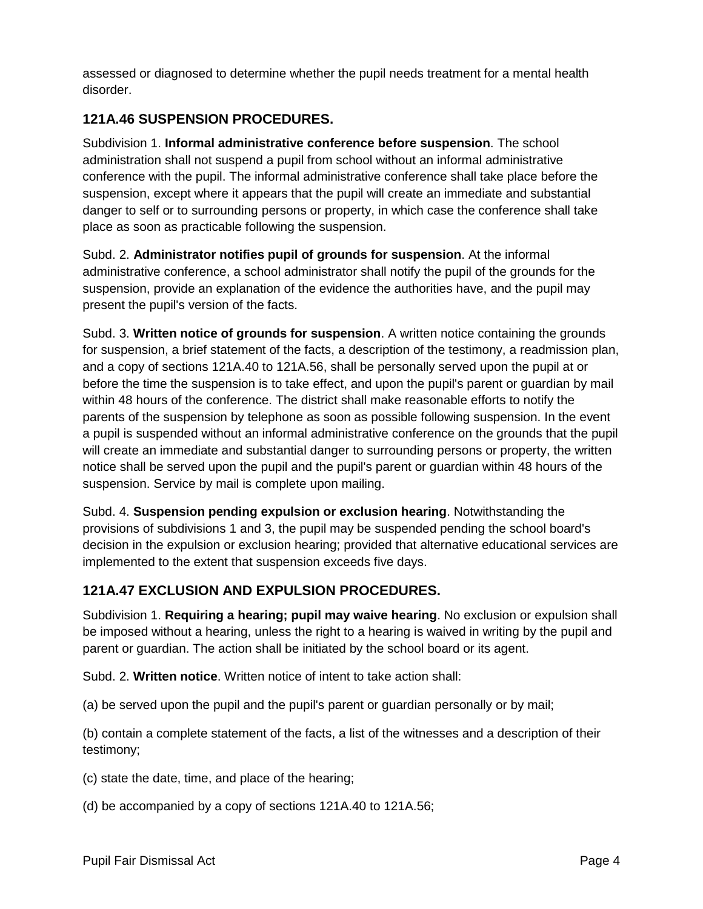assessed or diagnosed to determine whether the pupil needs treatment for a mental health disorder.

## **121A.46 SUSPENSION PROCEDURES.**

Subdivision 1. **Informal administrative conference before suspension**. The school administration shall not suspend a pupil from school without an informal administrative conference with the pupil. The informal administrative conference shall take place before the suspension, except where it appears that the pupil will create an immediate and substantial danger to self or to surrounding persons or property, in which case the conference shall take place as soon as practicable following the suspension.

Subd. 2. **Administrator notifies pupil of grounds for suspension**. At the informal administrative conference, a school administrator shall notify the pupil of the grounds for the suspension, provide an explanation of the evidence the authorities have, and the pupil may present the pupil's version of the facts.

Subd. 3. **Written notice of grounds for suspension**. A written notice containing the grounds for suspension, a brief statement of the facts, a description of the testimony, a readmission plan, and a copy of sections 121A.40 to 121A.56, shall be personally served upon the pupil at or before the time the suspension is to take effect, and upon the pupil's parent or guardian by mail within 48 hours of the conference. The district shall make reasonable efforts to notify the parents of the suspension by telephone as soon as possible following suspension. In the event a pupil is suspended without an informal administrative conference on the grounds that the pupil will create an immediate and substantial danger to surrounding persons or property, the written notice shall be served upon the pupil and the pupil's parent or guardian within 48 hours of the suspension. Service by mail is complete upon mailing.

Subd. 4. **Suspension pending expulsion or exclusion hearing**. Notwithstanding the provisions of subdivisions 1 and 3, the pupil may be suspended pending the school board's decision in the expulsion or exclusion hearing; provided that alternative educational services are implemented to the extent that suspension exceeds five days.

#### **121A.47 EXCLUSION AND EXPULSION PROCEDURES.**

Subdivision 1. **Requiring a hearing; pupil may waive hearing**. No exclusion or expulsion shall be imposed without a hearing, unless the right to a hearing is waived in writing by the pupil and parent or guardian. The action shall be initiated by the school board or its agent.

Subd. 2. **Written notice**. Written notice of intent to take action shall:

(a) be served upon the pupil and the pupil's parent or guardian personally or by mail;

(b) contain a complete statement of the facts, a list of the witnesses and a description of their testimony;

(c) state the date, time, and place of the hearing;

(d) be accompanied by a copy of sections 121A.40 to 121A.56;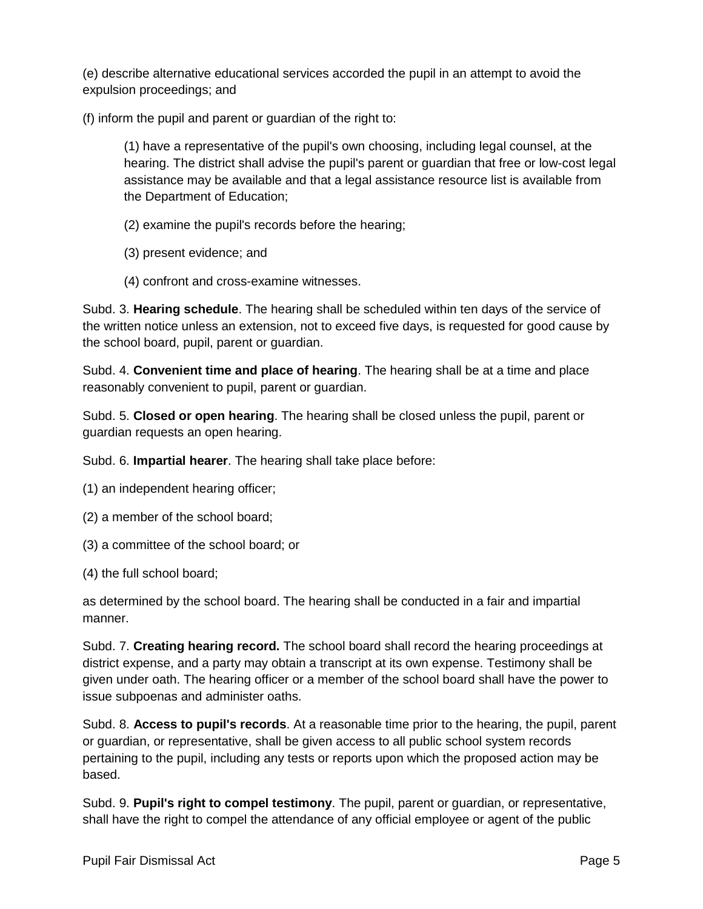(e) describe alternative educational services accorded the pupil in an attempt to avoid the expulsion proceedings; and

(f) inform the pupil and parent or guardian of the right to:

(1) have a representative of the pupil's own choosing, including legal counsel, at the hearing. The district shall advise the pupil's parent or guardian that free or low-cost legal assistance may be available and that a legal assistance resource list is available from the Department of Education;

- (2) examine the pupil's records before the hearing;
- (3) present evidence; and
- (4) confront and cross-examine witnesses.

Subd. 3. **Hearing schedule**. The hearing shall be scheduled within ten days of the service of the written notice unless an extension, not to exceed five days, is requested for good cause by the school board, pupil, parent or guardian.

Subd. 4. **Convenient time and place of hearing**. The hearing shall be at a time and place reasonably convenient to pupil, parent or guardian.

Subd. 5. **Closed or open hearing**. The hearing shall be closed unless the pupil, parent or guardian requests an open hearing.

Subd. 6. **Impartial hearer**. The hearing shall take place before:

- (1) an independent hearing officer;
- (2) a member of the school board;
- (3) a committee of the school board; or
- (4) the full school board;

as determined by the school board. The hearing shall be conducted in a fair and impartial manner.

Subd. 7. **Creating hearing record.** The school board shall record the hearing proceedings at district expense, and a party may obtain a transcript at its own expense. Testimony shall be given under oath. The hearing officer or a member of the school board shall have the power to issue subpoenas and administer oaths.

Subd. 8. **Access to pupil's records**. At a reasonable time prior to the hearing, the pupil, parent or guardian, or representative, shall be given access to all public school system records pertaining to the pupil, including any tests or reports upon which the proposed action may be based.

Subd. 9. **Pupil's right to compel testimony**. The pupil, parent or guardian, or representative, shall have the right to compel the attendance of any official employee or agent of the public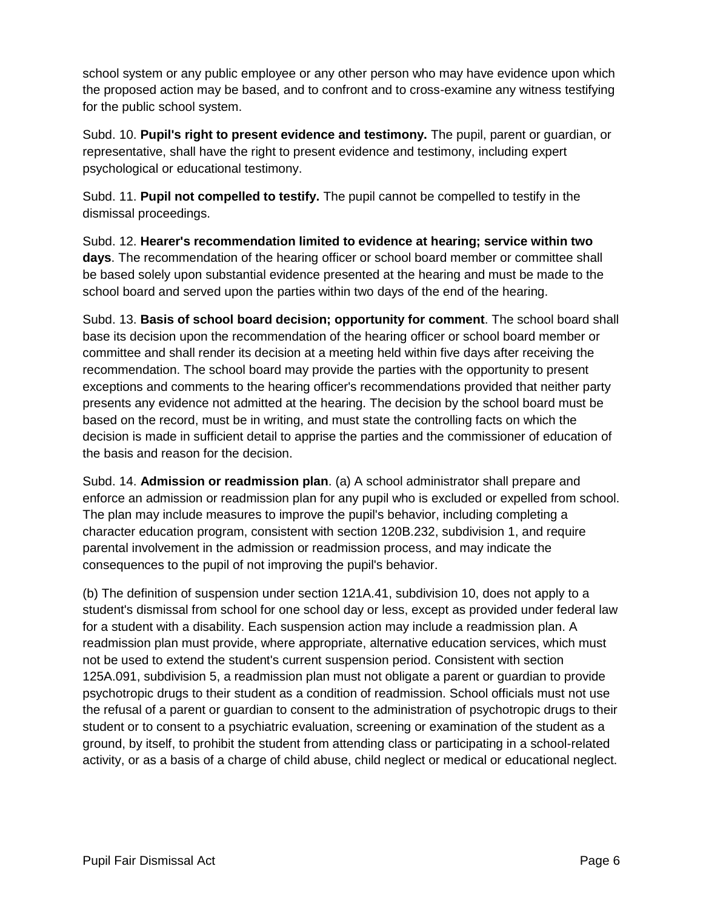school system or any public employee or any other person who may have evidence upon which the proposed action may be based, and to confront and to cross-examine any witness testifying for the public school system.

Subd. 10. **Pupil's right to present evidence and testimony.** The pupil, parent or guardian, or representative, shall have the right to present evidence and testimony, including expert psychological or educational testimony.

Subd. 11. **Pupil not compelled to testify.** The pupil cannot be compelled to testify in the dismissal proceedings.

Subd. 12. **Hearer's recommendation limited to evidence at hearing; service within two days**. The recommendation of the hearing officer or school board member or committee shall be based solely upon substantial evidence presented at the hearing and must be made to the school board and served upon the parties within two days of the end of the hearing.

Subd. 13. **Basis of school board decision; opportunity for comment**. The school board shall base its decision upon the recommendation of the hearing officer or school board member or committee and shall render its decision at a meeting held within five days after receiving the recommendation. The school board may provide the parties with the opportunity to present exceptions and comments to the hearing officer's recommendations provided that neither party presents any evidence not admitted at the hearing. The decision by the school board must be based on the record, must be in writing, and must state the controlling facts on which the decision is made in sufficient detail to apprise the parties and the commissioner of education of the basis and reason for the decision.

Subd. 14. **Admission or readmission plan**. (a) A school administrator shall prepare and enforce an admission or readmission plan for any pupil who is excluded or expelled from school. The plan may include measures to improve the pupil's behavior, including completing a character education program, consistent with section 120B.232, subdivision 1, and require parental involvement in the admission or readmission process, and may indicate the consequences to the pupil of not improving the pupil's behavior.

(b) The definition of suspension under section 121A.41, subdivision 10, does not apply to a student's dismissal from school for one school day or less, except as provided under federal law for a student with a disability. Each suspension action may include a readmission plan. A readmission plan must provide, where appropriate, alternative education services, which must not be used to extend the student's current suspension period. Consistent with section 125A.091, subdivision 5, a readmission plan must not obligate a parent or guardian to provide psychotropic drugs to their student as a condition of readmission. School officials must not use the refusal of a parent or guardian to consent to the administration of psychotropic drugs to their student or to consent to a psychiatric evaluation, screening or examination of the student as a ground, by itself, to prohibit the student from attending class or participating in a school-related activity, or as a basis of a charge of child abuse, child neglect or medical or educational neglect.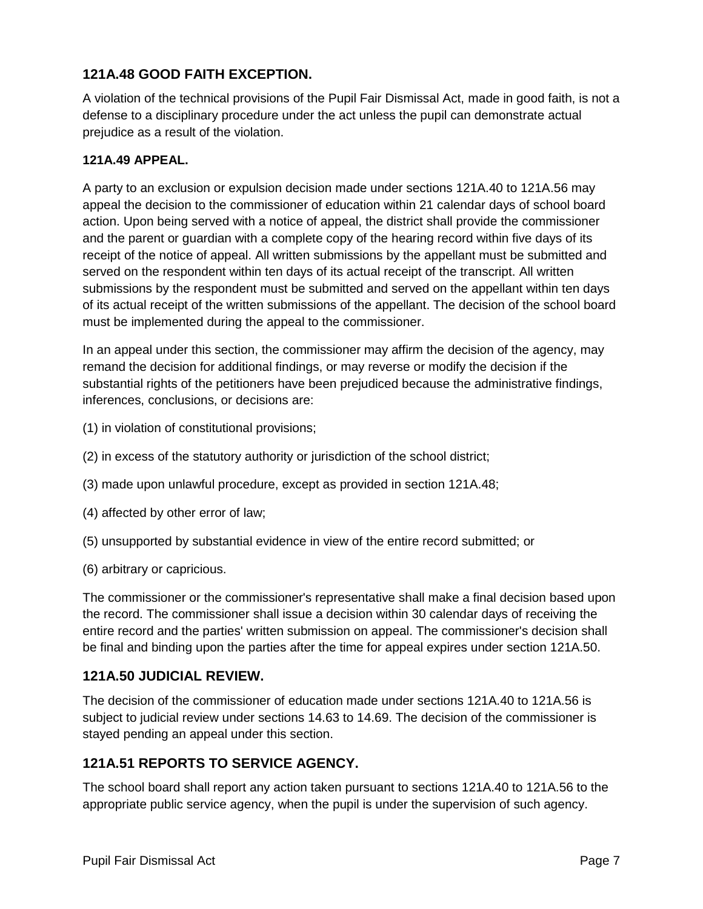#### **121A.48 GOOD FAITH EXCEPTION.**

A violation of the technical provisions of the Pupil Fair Dismissal Act, made in good faith, is not a defense to a disciplinary procedure under the act unless the pupil can demonstrate actual prejudice as a result of the violation.

#### **121A.49 APPEAL.**

A party to an exclusion or expulsion decision made under sections 121A.40 to 121A.56 may appeal the decision to the commissioner of education within 21 calendar days of school board action. Upon being served with a notice of appeal, the district shall provide the commissioner and the parent or guardian with a complete copy of the hearing record within five days of its receipt of the notice of appeal. All written submissions by the appellant must be submitted and served on the respondent within ten days of its actual receipt of the transcript. All written submissions by the respondent must be submitted and served on the appellant within ten days of its actual receipt of the written submissions of the appellant. The decision of the school board must be implemented during the appeal to the commissioner.

In an appeal under this section, the commissioner may affirm the decision of the agency, may remand the decision for additional findings, or may reverse or modify the decision if the substantial rights of the petitioners have been prejudiced because the administrative findings, inferences, conclusions, or decisions are:

- (1) in violation of constitutional provisions;
- (2) in excess of the statutory authority or jurisdiction of the school district;
- (3) made upon unlawful procedure, except as provided in section 121A.48;
- (4) affected by other error of law;
- (5) unsupported by substantial evidence in view of the entire record submitted; or
- (6) arbitrary or capricious.

The commissioner or the commissioner's representative shall make a final decision based upon the record. The commissioner shall issue a decision within 30 calendar days of receiving the entire record and the parties' written submission on appeal. The commissioner's decision shall be final and binding upon the parties after the time for appeal expires under section 121A.50.

#### **121A.50 JUDICIAL REVIEW.**

The decision of the commissioner of education made under sections 121A.40 to 121A.56 is subject to judicial review under sections 14.63 to 14.69. The decision of the commissioner is stayed pending an appeal under this section.

#### **121A.51 REPORTS TO SERVICE AGENCY.**

The school board shall report any action taken pursuant to sections 121A.40 to 121A.56 to the appropriate public service agency, when the pupil is under the supervision of such agency.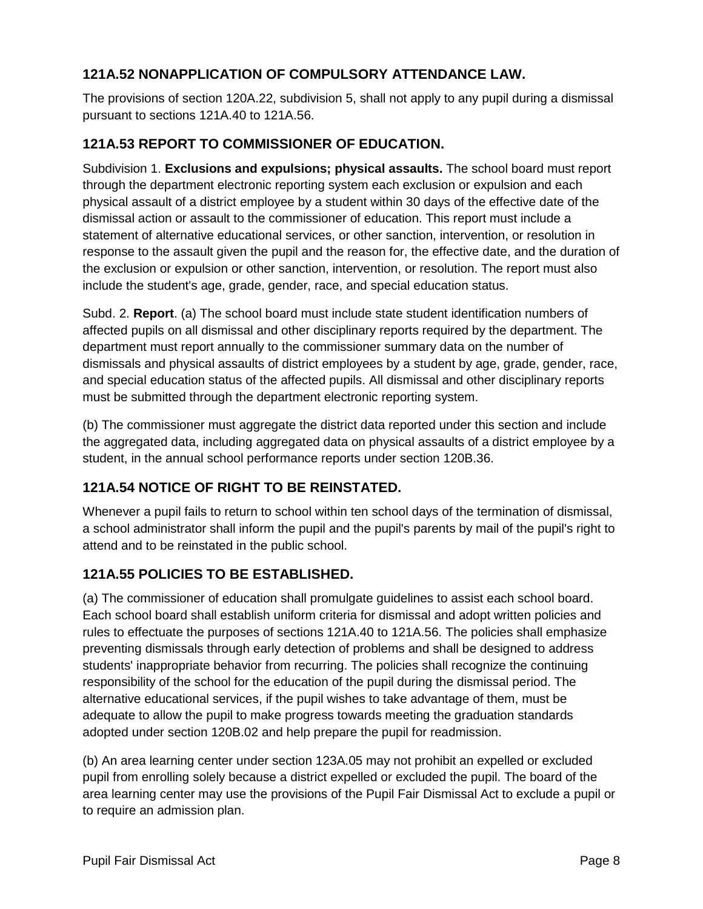# **121A.52 NONAPPLICATION OF COMPULSORY ATTENDANCE LAW.**

The provisions of section 120A.22, subdivision 5, shall not apply to any pupil during a dismissal pursuant to sections 121A.40 to 121A.56.

## **121A.53 REPORT TO COMMISSIONER OF EDUCATION.**

Subdivision 1. **Exclusions and expulsions; physical assaults.** The school board must report through the department electronic reporting system each exclusion or expulsion and each physical assault of a district employee by a student within 30 days of the effective date of the dismissal action or assault to the commissioner of education. This report must include a statement of alternative educational services, or other sanction, intervention, or resolution in response to the assault given the pupil and the reason for, the effective date, and the duration of the exclusion or expulsion or other sanction, intervention, or resolution. The report must also include the student's age, grade, gender, race, and special education status.

Subd. 2. **Report**. (a) The school board must include state student identification numbers of affected pupils on all dismissal and other disciplinary reports required by the department. The department must report annually to the commissioner summary data on the number of dismissals and physical assaults of district employees by a student by age, grade, gender, race, and special education status of the affected pupils. All dismissal and other disciplinary reports must be submitted through the department electronic reporting system.

(b) The commissioner must aggregate the district data reported under this section and include the aggregated data, including aggregated data on physical assaults of a district employee by a student, in the annual school performance reports under section 120B.36.

# **121A.54 NOTICE OF RIGHT TO BE REINSTATED.**

Whenever a pupil fails to return to school within ten school days of the termination of dismissal, a school administrator shall inform the pupil and the pupil's parents by mail of the pupil's right to attend and to be reinstated in the public school.

# **121A.55 POLICIES TO BE ESTABLISHED.**

(a) The commissioner of education shall promulgate guidelines to assist each school board. Each school board shall establish uniform criteria for dismissal and adopt written policies and rules to effectuate the purposes of sections 121A.40 to 121A.56. The policies shall emphasize preventing dismissals through early detection of problems and shall be designed to address students' inappropriate behavior from recurring. The policies shall recognize the continuing responsibility of the school for the education of the pupil during the dismissal period. The alternative educational services, if the pupil wishes to take advantage of them, must be adequate to allow the pupil to make progress towards meeting the graduation standards adopted under section 120B.02 and help prepare the pupil for readmission.

(b) An area learning center under section 123A.05 may not prohibit an expelled or excluded pupil from enrolling solely because a district expelled or excluded the pupil. The board of the area learning center may use the provisions of the Pupil Fair Dismissal Act to exclude a pupil or to require an admission plan.